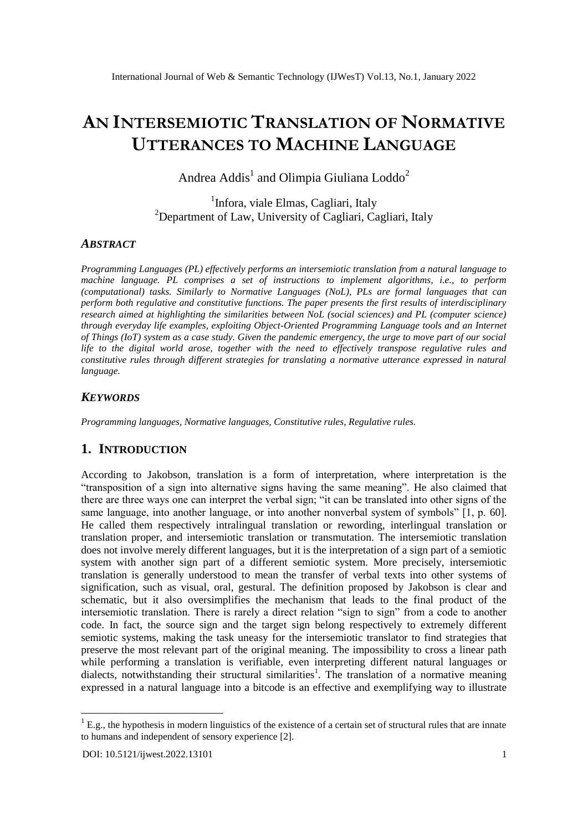# **AN INTERSEMIOTIC TRANSLATION OF NORMATIVE UTTERANCES TO MACHINE LANGUAGE**

Andrea Addis<sup>1</sup> and Olimpia Giuliana Loddo<sup>2</sup>

<sup>1</sup>Infora, viale Elmas, Cagliari, Italy  $^{2}$ Department of Law, University of Cagliari, Cagliari, Italy

### *ABSTRACT*

*Programming Languages (PL) effectively performs an intersemiotic translation from a natural language to machine language. PL comprises a set of instructions to implement algorithms, i.e., to perform (computational) tasks. Similarly to Normative Languages (NoL), PLs are formal languages that can perform both regulative and constitutive functions. The paper presents the first results of interdisciplinary research aimed at highlighting the similarities between NoL (social sciences) and PL (computer science) through everyday life examples, exploiting Object-Oriented Programming Language tools and an Internet of Things (IoT) system as a case study. Given the pandemic emergency, the urge to move part of our social life to the digital world arose, together with the need to effectively transpose regulative rules and constitutive rules through different strategies for translating a normative utterance expressed in natural language.*

## *KEYWORDS*

*Programming languages, Normative languages, Constitutive rules, Regulative rules.*

## **1. INTRODUCTION**

According to Jakobson, translation is a form of interpretation, where interpretation is the "transposition of a sign into alternative signs having the same meaning". He also claimed that there are three ways one can interpret the verbal sign; "it can be translated into other signs of the same language, into another language, or into another nonverbal system of symbols" [1, p. 60]. He called them respectively intralingual translation or rewording, interlingual translation or translation proper, and intersemiotic translation or transmutation. The intersemiotic translation does not involve merely different languages, but it is the interpretation of a sign part of a semiotic system with another sign part of a different semiotic system. More precisely, intersemiotic translation is generally understood to mean the transfer of verbal texts into other systems of signification, such as visual, oral, gestural. The definition proposed by Jakobson is clear and schematic, but it also oversimplifies the mechanism that leads to the final product of the intersemiotic translation. There is rarely a direct relation "sign to sign" from a code to another code. In fact, the source sign and the target sign belong respectively to extremely different semiotic systems, making the task uneasy for the intersemiotic translator to find strategies that preserve the most relevant part of the original meaning. The impossibility to cross a linear path while performing a translation is verifiable, even interpreting different natural languages or dialects, notwithstanding their structural similarities<sup>1</sup>. The translation of a normative meaning expressed in a natural language into a bitcode is an effective and exemplifying way to illustrate

-

 ${}^{1}$  E.g., the hypothesis in modern linguistics of the existence of a certain set of structural rules that are innate to humans and independent of sensory experience [2].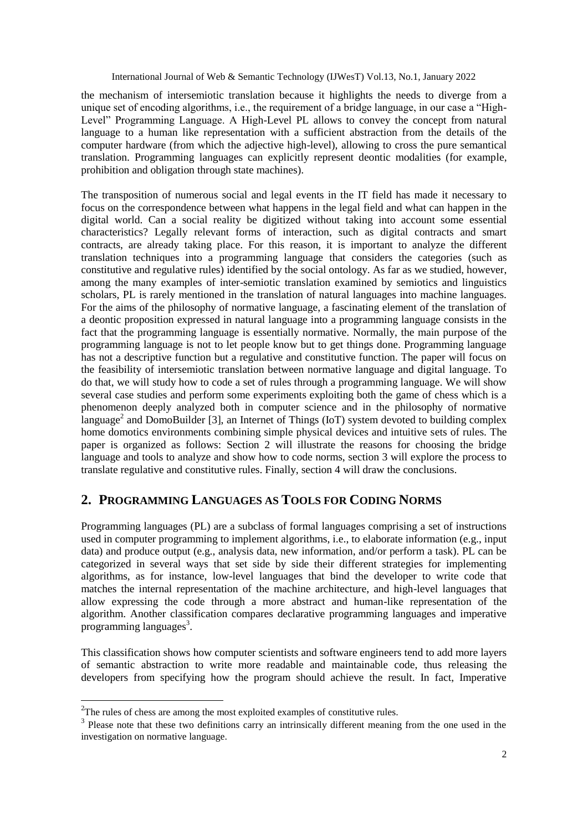the mechanism of intersemiotic translation because it highlights the needs to diverge from a unique set of encoding algorithms, i.e., the requirement of a bridge language, in our case a "High-Level" Programming Language. A High-Level PL allows to convey the concept from natural language to a human like representation with a sufficient abstraction from the details of the computer hardware (from which the adjective high-level), allowing to cross the pure semantical translation. Programming languages can explicitly represent deontic modalities (for example, prohibition and obligation through state machines).

The transposition of numerous social and legal events in the IT field has made it necessary to focus on the correspondence between what happens in the legal field and what can happen in the digital world. Can a social reality be digitized without taking into account some essential characteristics? Legally relevant forms of interaction, such as digital contracts and smart contracts, are already taking place. For this reason, it is important to analyze the different translation techniques into a programming language that considers the categories (such as constitutive and regulative rules) identified by the social ontology. As far as we studied, however, among the many examples of inter-semiotic translation examined by semiotics and linguistics scholars, PL is rarely mentioned in the translation of natural languages into machine languages. For the aims of the philosophy of normative language, a fascinating element of the translation of a deontic proposition expressed in natural language into a programming language consists in the fact that the programming language is essentially normative. Normally, the main purpose of the programming language is not to let people know but to get things done. Programming language has not a descriptive function but a regulative and constitutive function. The paper will focus on the feasibility of intersemiotic translation between normative language and digital language. To do that, we will study how to code a set of rules through a programming language. We will show several case studies and perform some experiments exploiting both the game of chess which is a phenomenon deeply analyzed both in computer science and in the philosophy of normative language<sup>2</sup> and DomoBuilder [3], an Internet of Things (IoT) system devoted to building complex home domotics environments combining simple physical devices and intuitive sets of rules. The paper is organized as follows: Section 2 will illustrate the reasons for choosing the bridge language and tools to analyze and show how to code norms, section 3 will explore the process to translate regulative and constitutive rules. Finally, section 4 will draw the conclusions.

# **2. PROGRAMMING LANGUAGES AS TOOLS FOR CODING NORMS**

Programming languages (PL) are a subclass of formal languages comprising a set of instructions used in computer programming to implement algorithms, i.e., to elaborate information (e.g., input data) and produce output (e.g., analysis data, new information, and/or perform a task). PL can be categorized in several ways that set side by side their different strategies for implementing algorithms, as for instance, low-level languages that bind the developer to write code that matches the internal representation of the machine architecture, and high-level languages that allow expressing the code through a more abstract and human-like representation of the algorithm. Another classification compares declarative programming languages and imperative programming languages<sup>3</sup>.

This classification shows how computer scientists and software engineers tend to add more layers of semantic abstraction to write more readable and maintainable code, thus releasing the developers from specifying how the program should achieve the result. In fact, Imperative

1

 $2^2$ The rules of chess are among the most exploited examples of constitutive rules.

<sup>&</sup>lt;sup>3</sup> Please note that these two definitions carry an intrinsically different meaning from the one used in the investigation on normative language.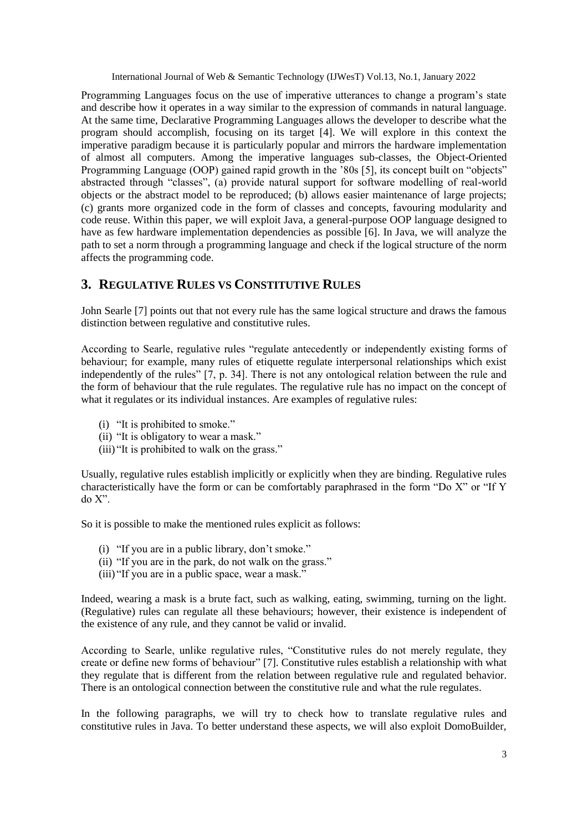Programming Languages focus on the use of imperative utterances to change a program"s state and describe how it operates in a way similar to the expression of commands in natural language. At the same time, Declarative Programming Languages allows the developer to describe what the program should accomplish, focusing on its target [4]. We will explore in this context the imperative paradigm because it is particularly popular and mirrors the hardware implementation of almost all computers. Among the imperative languages sub-classes, the Object-Oriented Programming Language (OOP) gained rapid growth in the "80s [5], its concept built on "objects" abstracted through "classes", (a) provide natural support for software modelling of real-world objects or the abstract model to be reproduced; (b) allows easier maintenance of large projects; (c) grants more organized code in the form of classes and concepts, favouring modularity and code reuse. Within this paper, we will exploit Java, a general-purpose OOP language designed to have as few hardware implementation dependencies as possible [6]. In Java, we will analyze the path to set a norm through a programming language and check if the logical structure of the norm affects the programming code.

# **3. REGULATIVE RULES VS CONSTITUTIVE RULES**

John Searle [7] points out that not every rule has the same logical structure and draws the famous distinction between regulative and constitutive rules.

According to Searle, regulative rules "regulate antecedently or independently existing forms of behaviour; for example, many rules of etiquette regulate interpersonal relationships which exist independently of the rules" [7, p. 34]. There is not any ontological relation between the rule and the form of behaviour that the rule regulates. The regulative rule has no impact on the concept of what it regulates or its individual instances. Are examples of regulative rules:

- (i) "It is prohibited to smoke."
- (ii) "It is obligatory to wear a mask."
- (iii) "It is prohibited to walk on the grass."

Usually, regulative rules establish implicitly or explicitly when they are binding. Regulative rules characteristically have the form or can be comfortably paraphrased in the form "Do X" or "If Y do X".

So it is possible to make the mentioned rules explicit as follows:

- (i) "If you are in a public library, don"t smoke."
- (ii) "If you are in the park, do not walk on the grass."
- (iii) "If you are in a public space, wear a mask."

Indeed, wearing a mask is a brute fact, such as walking, eating, swimming, turning on the light. (Regulative) rules can regulate all these behaviours; however, their existence is independent of the existence of any rule, and they cannot be valid or invalid.

According to Searle, unlike regulative rules, "Constitutive rules do not merely regulate, they create or define new forms of behaviour" [7]. Constitutive rules establish a relationship with what they regulate that is different from the relation between regulative rule and regulated behavior. There is an ontological connection between the constitutive rule and what the rule regulates.

In the following paragraphs, we will try to check how to translate regulative rules and constitutive rules in Java. To better understand these aspects, we will also exploit DomoBuilder,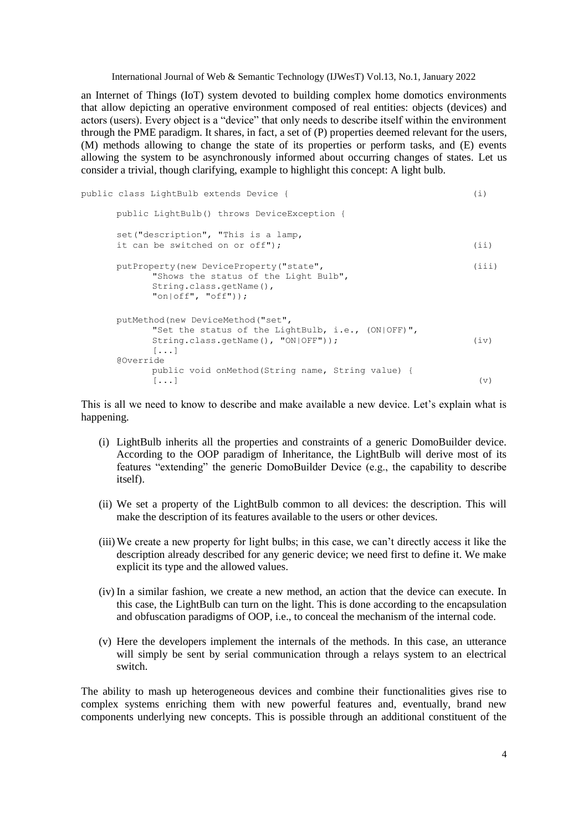an Internet of Things (IoT) system devoted to building complex home domotics environments that allow depicting an operative environment composed of real entities: objects (devices) and actors (users). Every object is a "device" that only needs to describe itself within the environment through the PME paradigm. It shares, in fact, a set of (P) properties deemed relevant for the users, (M) methods allowing to change the state of its properties or perform tasks, and (E) events allowing the system to be asynchronously informed about occurring changes of states. Let us consider a trivial, though clarifying, example to highlight this concept: A light bulb.

```
public class LightBulb extends Device { (i)
     public LightBulb() throws DeviceException {
     set("description", "This is a lamp,
     it can be switched on or off"); (ii)
     putProperty(new DeviceProperty("state", (iii)
           "Shows the status of the Light Bulb",
          String.class.getName(),
           "on|off", "off"));
     putMethod(new DeviceMethod("set",
           "Set the status of the LightBulb, i.e., (ON|OFF)",
          String.class.getName(), "ON|OFF")); (iv)
           [...]
     @Override
          public void onMethod(String name, String value) {
           \begin{pmatrix} \cdot & \cdot & \cdot \end{pmatrix} (v)
```
This is all we need to know to describe and make available a new device. Let's explain what is happening.

- (i) LightBulb inherits all the properties and constraints of a generic DomoBuilder device. According to the OOP paradigm of Inheritance, the LightBulb will derive most of its features "extending" the generic DomoBuilder Device (e.g., the capability to describe itself).
- (ii) We set a property of the LightBulb common to all devices: the description. This will make the description of its features available to the users or other devices.
- (iii)We create a new property for light bulbs; in this case, we can"t directly access it like the description already described for any generic device; we need first to define it. We make explicit its type and the allowed values.
- (iv) In a similar fashion, we create a new method, an action that the device can execute. In this case, the LightBulb can turn on the light. This is done according to the encapsulation and obfuscation paradigms of OOP, i.e., to conceal the mechanism of the internal code.
- (v) Here the developers implement the internals of the methods. In this case, an utterance will simply be sent by serial communication through a relays system to an electrical switch.

The ability to mash up heterogeneous devices and combine their functionalities gives rise to complex systems enriching them with new powerful features and, eventually, brand new components underlying new concepts. This is possible through an additional constituent of the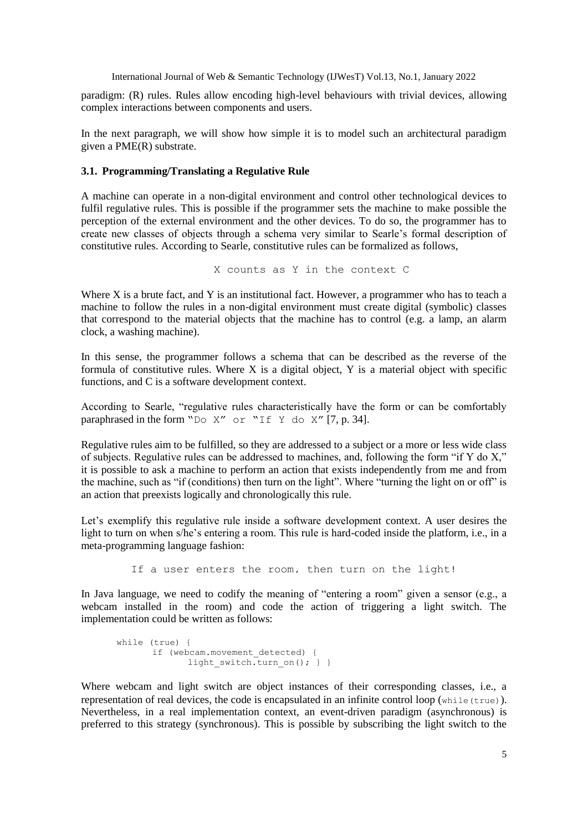paradigm: (R) rules. Rules allow encoding high-level behaviours with trivial devices, allowing complex interactions between components and users.

In the next paragraph, we will show how simple it is to model such an architectural paradigm given a PME(R) substrate.

#### **3.1. Programming/Translating a Regulative Rule**

A machine can operate in a non-digital environment and control other technological devices to fulfil regulative rules. This is possible if the programmer sets the machine to make possible the perception of the external environment and the other devices. To do so, the programmer has to create new classes of objects through a schema very similar to Searle"s formal description of constitutive rules. According to Searle, constitutive rules can be formalized as follows,

X counts as Y in the context C

Where X is a brute fact, and Y is an institutional fact. However, a programmer who has to teach a machine to follow the rules in a non-digital environment must create digital (symbolic) classes that correspond to the material objects that the machine has to control (e.g. a lamp, an alarm clock, a washing machine).

In this sense, the programmer follows a schema that can be described as the reverse of the formula of constitutive rules. Where  $X$  is a digital object,  $Y$  is a material object with specific functions, and C is a software development context.

According to Searle, "regulative rules characteristically have the form or can be comfortably paraphrased in the form "Do X" or "If Y do X" [7, p. 34].

Regulative rules aim to be fulfilled, so they are addressed to a subject or a more or less wide class of subjects. Regulative rules can be addressed to machines, and, following the form "if Y do X," it is possible to ask a machine to perform an action that exists independently from me and from the machine, such as "if (conditions) then turn on the light". Where "turning the light on or off" is an action that preexists logically and chronologically this rule.

Let's exemplify this regulative rule inside a software development context. A user desires the light to turn on when s/he's entering a room. This rule is hard-coded inside the platform, i.e., in a meta-programming language fashion:

If a user enters the room, then turn on the light!

In Java language, we need to codify the meaning of "entering a room" given a sensor (e.g., a webcam installed in the room) and code the action of triggering a light switch. The implementation could be written as follows:

```
while (true) {
      if (webcam.movement detected) {
             light switch.turn on(); } } }
```
Where webcam and light switch are object instances of their corresponding classes, i.e., a representation of real devices, the code is encapsulated in an infinite control loop (while(true)). Nevertheless, in a real implementation context, an event-driven paradigm (asynchronous) is preferred to this strategy (synchronous). This is possible by subscribing the light switch to the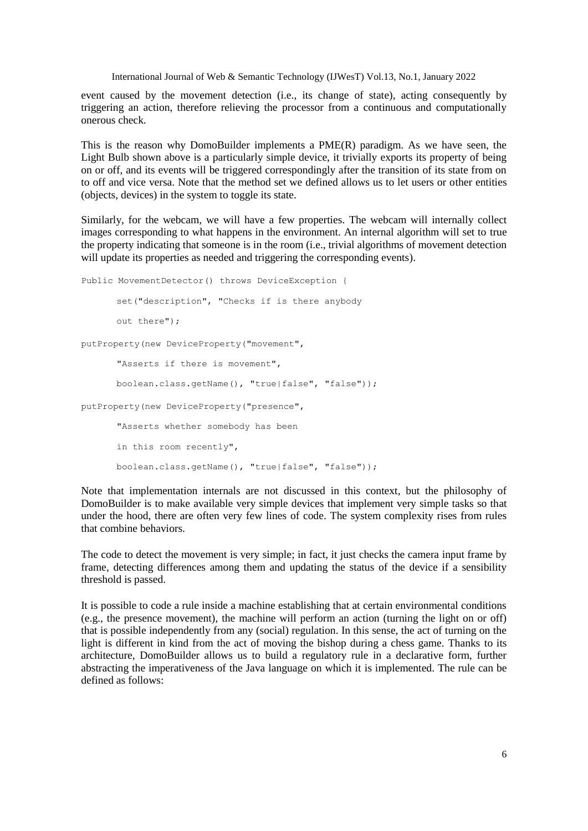event caused by the movement detection (i.e., its change of state), acting consequently by triggering an action, therefore relieving the processor from a continuous and computationally onerous check.

This is the reason why DomoBuilder implements a PME(R) paradigm. As we have seen, the Light Bulb shown above is a particularly simple device, it trivially exports its property of being on or off, and its events will be triggered correspondingly after the transition of its state from on to off and vice versa. Note that the method set we defined allows us to let users or other entities (objects, devices) in the system to toggle its state.

Similarly, for the webcam, we will have a few properties. The webcam will internally collect images corresponding to what happens in the environment. An internal algorithm will set to true the property indicating that someone is in the room (i.e., trivial algorithms of movement detection will update its properties as needed and triggering the corresponding events).

```
Public MovementDetector() throws DeviceException {
      set("description", "Checks if is there anybody
      out there");
```
putProperty(new DeviceProperty("movement",

"Asserts if there is movement", boolean.class.getName(), "true|false", "false"));

putProperty(new DeviceProperty("presence",

"Asserts whether somebody has been in this room recently", boolean.class.getName(), "true|false", "false"));

Note that implementation internals are not discussed in this context, but the philosophy of DomoBuilder is to make available very simple devices that implement very simple tasks so that under the hood, there are often very few lines of code. The system complexity rises from rules that combine behaviors.

The code to detect the movement is very simple; in fact, it just checks the camera input frame by frame, detecting differences among them and updating the status of the device if a sensibility threshold is passed.

It is possible to code a rule inside a machine establishing that at certain environmental conditions (e.g., the presence movement), the machine will perform an action (turning the light on or off) that is possible independently from any (social) regulation. In this sense, the act of turning on the light is different in kind from the act of moving the bishop during a chess game. Thanks to its architecture, DomoBuilder allows us to build a regulatory rule in a declarative form, further abstracting the imperativeness of the Java language on which it is implemented. The rule can be defined as follows: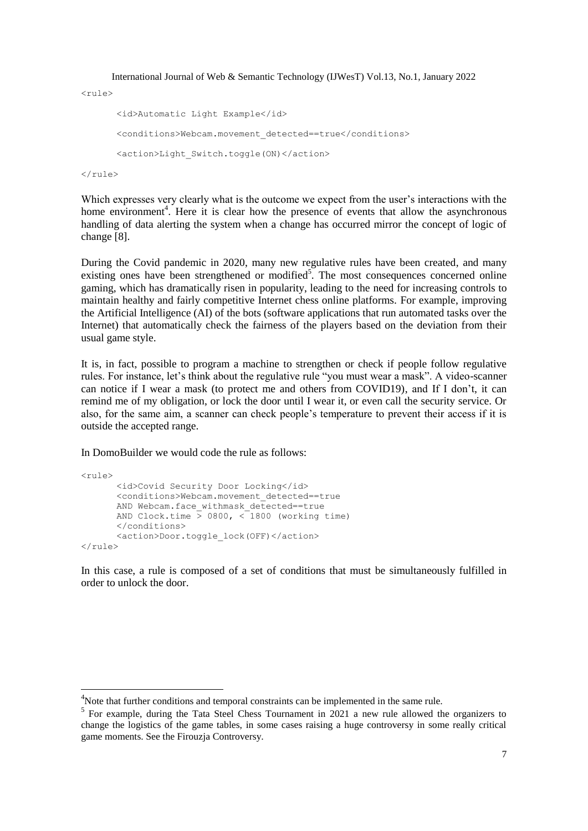```
<rule>
       <id>Automatic Light Example</id>
       <conditions>Webcam.movement_detected==true</conditions>
       <action>Light_Switch.toggle(ON)</action>
\langlerule>
```
Which expresses very clearly what is the outcome we expect from the user's interactions with the home environment<sup>4</sup>. Here it is clear how the presence of events that allow the asynchronous handling of data alerting the system when a change has occurred mirror the concept of logic of change [8].

During the Covid pandemic in 2020, many new regulative rules have been created, and many existing ones have been strengthened or modified<sup>5</sup>. The most consequences concerned online gaming, which has dramatically risen in popularity, leading to the need for increasing controls to maintain healthy and fairly competitive Internet chess online platforms. For example, improving the Artificial Intelligence (AI) of the bots (software applications that run automated tasks over the Internet) that automatically check the fairness of the players based on the deviation from their usual game style.

It is, in fact, possible to program a machine to strengthen or check if people follow regulative rules. For instance, let's think about the regulative rule "you must wear a mask". A video-scanner can notice if I wear a mask (to protect me and others from COVID19), and If I don"t, it can remind me of my obligation, or lock the door until I wear it, or even call the security service. Or also, for the same aim, a scanner can check people"s temperature to prevent their access if it is outside the accepted range.

In DomoBuilder we would code the rule as follows:

1

```
<rule>
      <id>Covid Security Door Locking</id>
       <conditions>Webcam.movement_detected==true
      AND Webcam.face withmask detected==true
      AND Clock.time > 0800, < 1800 (working time)
       </conditions>
      <action>Door.toggle_lock(OFF)</action>
\langle/rule\rangle
```
In this case, a rule is composed of a set of conditions that must be simultaneously fulfilled in order to unlock the door.

<sup>&</sup>lt;sup>4</sup>Note that further conditions and temporal constraints can be implemented in the same rule.

<sup>&</sup>lt;sup>5</sup> For example, during the Tata Steel Chess Tournament in 2021 a new rule allowed the organizers to change the logistics of the game tables, in some cases raising a huge controversy in some really critical game moments. See the Firouzja Controversy.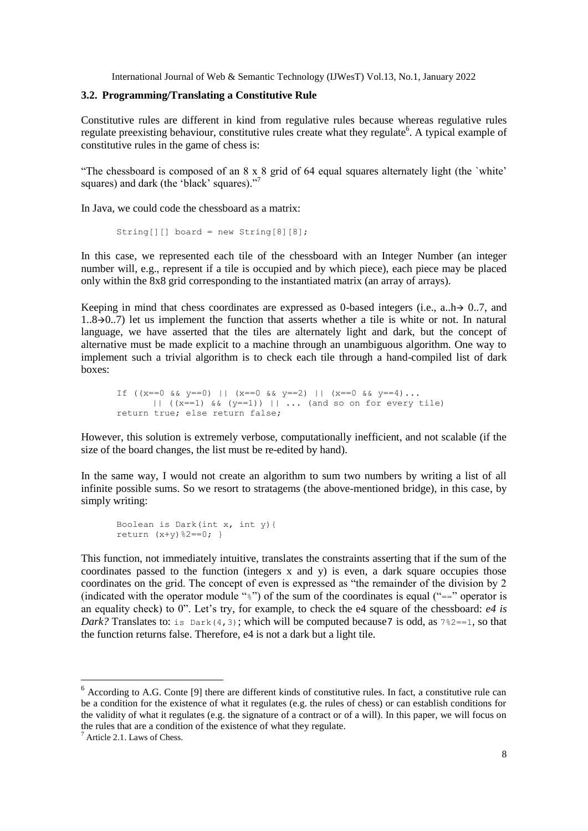## **3.2. Programming/Translating a Constitutive Rule**

Constitutive rules are different in kind from regulative rules because whereas regulative rules regulate preexisting behaviour, constitutive rules create what they regulate<sup>6</sup>. A typical example of constitutive rules in the game of chess is:

"The chessboard is composed of an 8 x 8 grid of 64 equal squares alternately light (the 'white' squares) and dark (the 'black' squares)."<sup>7</sup>

In Java, we could code the chessboard as a matrix:

```
String[][] board = new String[8][8];
```
In this case, we represented each tile of the chessboard with an Integer Number (an integer number will, e.g., represent if a tile is occupied and by which piece), each piece may be placed only within the 8x8 grid corresponding to the instantiated matrix (an array of arrays).

Keeping in mind that chess coordinates are expressed as 0-based integers (i.e., a., h $\rightarrow$  0..7, and  $1.8\rightarrow0.7$ ) let us implement the function that asserts whether a tile is white or not. In natural language, we have asserted that the tiles are alternately light and dark, but the concept of alternative must be made explicit to a machine through an unambiguous algorithm. One way to implement such a trivial algorithm is to check each tile through a hand-compiled list of dark boxes:

If  $((x == 0 & 0 & y == 0) || (x == 0 & 0 & y == 2) || (x == 0 & 0 & y == 4)$ ... ||  $((x==1) \& (y==1))$  || ... (and so on for every tile) return true; else return false;

However, this solution is extremely verbose, computationally inefficient, and not scalable (if the size of the board changes, the list must be re-edited by hand).

In the same way, I would not create an algorithm to sum two numbers by writing a list of all infinite possible sums. So we resort to stratagems (the above-mentioned bridge), in this case, by simply writing:

```
Boolean is Dark(int x, int y){
return (x+y) %2==0; }
```
This function, not immediately intuitive, translates the constraints asserting that if the sum of the coordinates passed to the function (integers  $x$  and  $y$ ) is even, a dark square occupies those coordinates on the grid. The concept of even is expressed as "the remainder of the division by 2 (indicated with the operator module " $\frac{1}{2}$ ") of the sum of the coordinates is equal ("==" operator is an equality check) to 0". Let"s try, for example, to check the e4 square of the chessboard: *e4 is Dark?* Translates to: is  $Dark(4,3)$ ; which will be computed because 7 is odd, as  $7\frac{?}{2}$  = = 1, so that the function returns false. Therefore, e4 is not a dark but a light tile.

-

 $6$  According to A.G. Conte [9] there are different kinds of constitutive rules. In fact, a constitutive rule can be a condition for the existence of what it regulates (e.g. the rules of chess) or can establish conditions for the validity of what it regulates (e.g. the signature of a contract or of a will). In this paper, we will focus on the rules that are a condition of the existence of what they regulate.

 $7$  Article 2.1. Laws of Chess.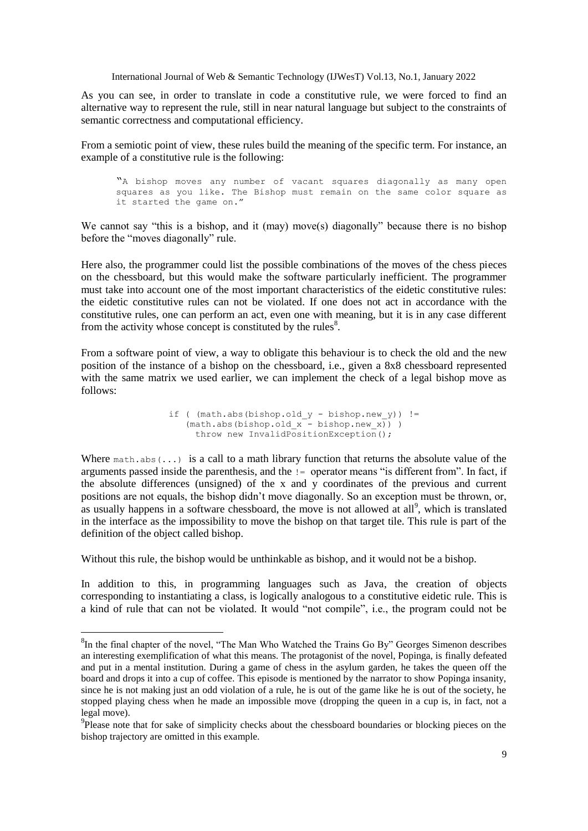As you can see, in order to translate in code a constitutive rule, we were forced to find an alternative way to represent the rule, still in near natural language but subject to the constraints of semantic correctness and computational efficiency.

From a semiotic point of view, these rules build the meaning of the specific term. For instance, an example of a constitutive rule is the following:

"A bishop moves any number of vacant squares diagonally as many open squares as you like. The Bishop must remain on the same color square as it started the game on."

We cannot say "this is a bishop, and it (may) move(s) diagonally" because there is no bishop before the "moves diagonally" rule.

Here also, the programmer could list the possible combinations of the moves of the chess pieces on the chessboard, but this would make the software particularly inefficient. The programmer must take into account one of the most important characteristics of the eidetic constitutive rules: the eidetic constitutive rules can not be violated. If one does not act in accordance with the constitutive rules, one can perform an act, even one with meaning, but it is in any case different from the activity whose concept is constituted by the rules $8$ .

From a software point of view, a way to obligate this behaviour is to check the old and the new position of the instance of a bishop on the chessboard, i.e., given a 8x8 chessboard represented with the same matrix we used earlier, we can implement the check of a legal bishop move as follows:

> if (  $(math.abs(bishop.old y - bishop.new y))$  !=  $(\text{math,abs}(bishop.old x - bishop.new x)) )$ throw new InvalidPositionException();

Where  $\text{match}$ ,  $\text{abs}(...)$  is a call to a math library function that returns the absolute value of the arguments passed inside the parenthesis, and the != operator means "is different from". In fact, if the absolute differences (unsigned) of the x and y coordinates of the previous and current positions are not equals, the bishop didn"t move diagonally. So an exception must be thrown, or, as usually happens in a software chessboard, the move is not allowed at all<sup>9</sup>, which is translated in the interface as the impossibility to move the bishop on that target tile. This rule is part of the definition of the object called bishop.

Without this rule, the bishop would be unthinkable as bishop, and it would not be a bishop.

1

In addition to this, in programming languages such as Java, the creation of objects corresponding to instantiating a class, is logically analogous to a constitutive eidetic rule. This is a kind of rule that can not be violated. It would "not compile", i.e., the program could not be

 ${}^{8}$ In the final chapter of the novel, "The Man Who Watched the Trains Go By" Georges Simenon describes an interesting exemplification of what this means. The protagonist of the novel, Popinga, is finally defeated and put in a mental institution. During a game of chess in the asylum garden, he takes the queen off the board and drops it into a cup of coffee. This episode is mentioned by the narrator to show Popinga insanity, since he is not making just an odd violation of a rule, he is out of the game like he is out of the society, he stopped playing chess when he made an impossible move (dropping the queen in a cup is, in fact, not a legal move).

<sup>&</sup>lt;sup>9</sup>Please note that for sake of simplicity checks about the chessboard boundaries or blocking pieces on the bishop trajectory are omitted in this example.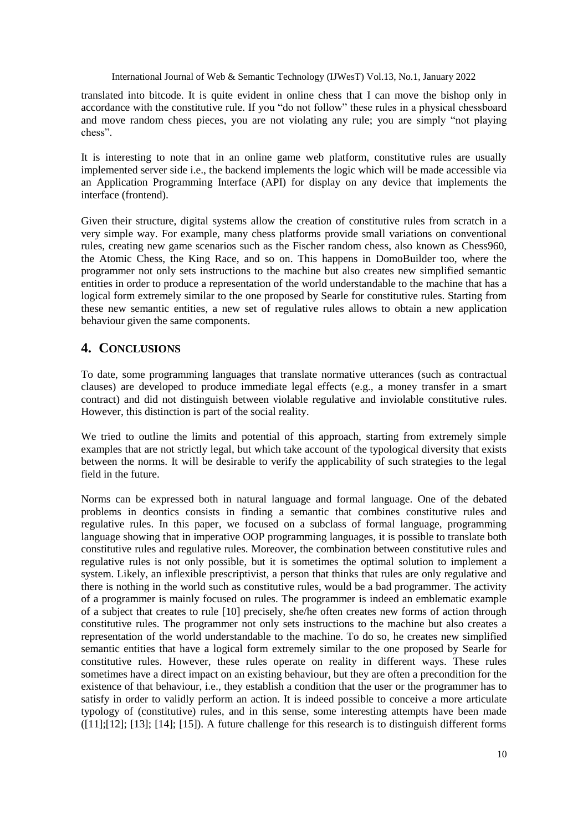translated into bitcode. It is quite evident in online chess that I can move the bishop only in accordance with the constitutive rule. If you "do not follow" these rules in a physical chessboard and move random chess pieces, you are not violating any rule; you are simply "not playing chess".

It is interesting to note that in an online game web platform, constitutive rules are usually implemented server side i.e., the backend implements the logic which will be made accessible via an Application Programming Interface (API) for display on any device that implements the interface (frontend).

Given their structure, digital systems allow the creation of constitutive rules from scratch in a very simple way. For example, many chess platforms provide small variations on conventional rules, creating new game scenarios such as the Fischer random chess, also known as Chess960, the Atomic Chess, the King Race, and so on. This happens in DomoBuilder too, where the programmer not only sets instructions to the machine but also creates new simplified semantic entities in order to produce a representation of the world understandable to the machine that has a logical form extremely similar to the one proposed by Searle for constitutive rules. Starting from these new semantic entities, a new set of regulative rules allows to obtain a new application behaviour given the same components.

# **4. CONCLUSIONS**

To date, some programming languages that translate normative utterances (such as contractual clauses) are developed to produce immediate legal effects (e.g., a money transfer in a smart contract) and did not distinguish between violable regulative and inviolable constitutive rules. However, this distinction is part of the social reality.

We tried to outline the limits and potential of this approach, starting from extremely simple examples that are not strictly legal, but which take account of the typological diversity that exists between the norms. It will be desirable to verify the applicability of such strategies to the legal field in the future.

Norms can be expressed both in natural language and formal language. One of the debated problems in deontics consists in finding a semantic that combines constitutive rules and regulative rules. In this paper, we focused on a subclass of formal language, programming language showing that in imperative OOP programming languages, it is possible to translate both constitutive rules and regulative rules. Moreover, the combination between constitutive rules and regulative rules is not only possible, but it is sometimes the optimal solution to implement a system. Likely, an inflexible prescriptivist, a person that thinks that rules are only regulative and there is nothing in the world such as constitutive rules, would be a bad programmer. The activity of a programmer is mainly focused on rules. The programmer is indeed an emblematic example of a subject that creates to rule [10] precisely, she/he often creates new forms of action through constitutive rules. The programmer not only sets instructions to the machine but also creates a representation of the world understandable to the machine. To do so, he creates new simplified semantic entities that have a logical form extremely similar to the one proposed by Searle for constitutive rules. However, these rules operate on reality in different ways. These rules sometimes have a direct impact on an existing behaviour, but they are often a precondition for the existence of that behaviour, i.e., they establish a condition that the user or the programmer has to satisfy in order to validly perform an action. It is indeed possible to conceive a more articulate typology of (constitutive) rules, and in this sense, some interesting attempts have been made ([11];[12]; [13]; [14]; [15]). A future challenge for this research is to distinguish different forms